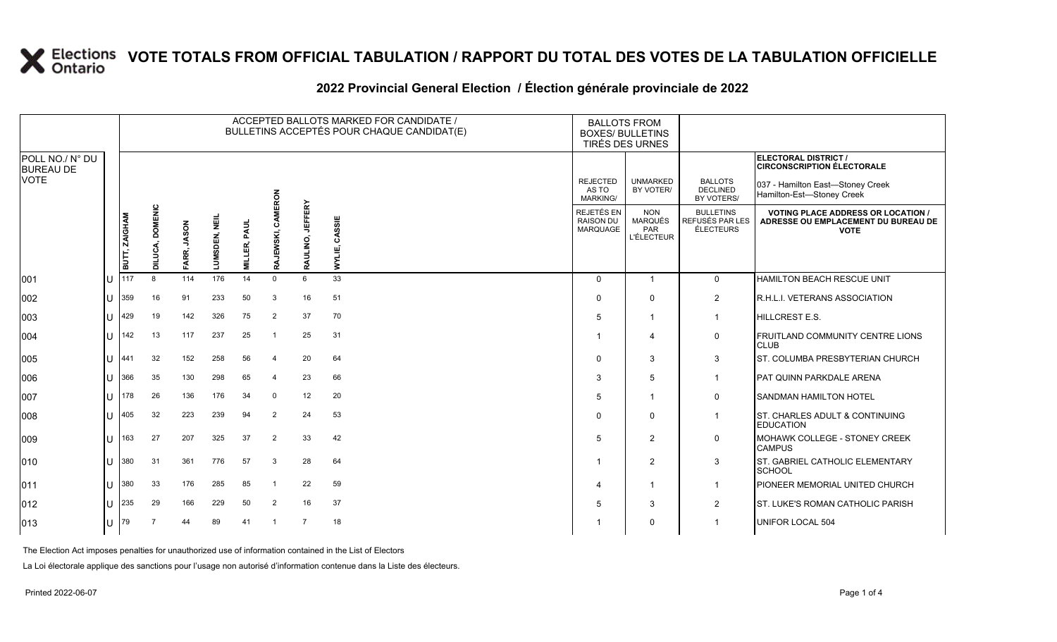### **2022 Provincial General Election / Élection générale provinciale de 2022**

|                                     |    |                      |                 | ACCEPTED BALLOTS MARKED FOR CANDIDATE /<br><b>BALLOTS FROM</b><br>BULLETINS ACCEPTÉS POUR CHAQUE CANDIDAT(E)<br><b>BOXES/ BULLETINS</b><br><b>TIRÉS DES URNES</b> |               |                     |                  |                  |                  |                                             |                                                          |                                                         |                                                                                                 |
|-------------------------------------|----|----------------------|-----------------|-------------------------------------------------------------------------------------------------------------------------------------------------------------------|---------------|---------------------|------------------|------------------|------------------|---------------------------------------------|----------------------------------------------------------|---------------------------------------------------------|-------------------------------------------------------------------------------------------------|
| POLL NO./ N° DU<br><b>BUREAU DE</b> |    |                      |                 |                                                                                                                                                                   |               |                     |                  |                  |                  |                                             |                                                          |                                                         | ELECTORAL DISTRICT /<br><b>CIRCONSCRIPTION ÉLECTORALE</b>                                       |
| <b>VOTE</b>                         |    |                      |                 |                                                                                                                                                                   |               |                     | ERON             |                  |                  | <b>REJECTED</b><br>AS TO<br><b>MARKING/</b> | <b>UNMARKED</b><br>BY VOTER/                             | <b>BALLOTS</b><br><b>DECLINED</b><br>BY VOTERS/         | 037 - Hamilton East-Stoney Creek<br>Hamilton-Est-Stoney Creek                                   |
|                                     |    | <b>BUTT, ZAIGHAM</b> | DILUCA, DOMENIC | FARR, JASON                                                                                                                                                       | LUMSDEN, NEIL | <b>MILLER, PAUL</b> | CAM<br>RAJEWSKI, | RAULINO, JEFFERY | CASSIE<br>WYLIE, | REJETÉS EN<br><b>RAISON DU</b><br>MARQUAGE  | <b>NON</b><br><b>MARQUÉS</b><br>PAR<br><b>L'ÉLECTEUR</b> | <b>BULLETINS</b><br>REFUSÉS PAR LES<br><b>ÉLECTEURS</b> | <b>VOTING PLACE ADDRESS OR LOCATION /</b><br>ADRESSE OU EMPLACEMENT DU BUREAU DE<br><b>VOTE</b> |
| 001                                 | ΙU | 117                  | 8               | 114                                                                                                                                                               | 176           | 14                  | $\mathbf 0$      | 6                | 33               | $\Omega$                                    | $\overline{1}$                                           | $\mathbf 0$                                             | HAMILTON BEACH RESCUE UNIT                                                                      |
| 002                                 | lu | 359                  | 16              | 91                                                                                                                                                                | 233           | 50                  | 3                | 16               | 51               | $\Omega$                                    | $\mathbf 0$                                              | 2                                                       | R.H.L.I. VETERANS ASSOCIATION                                                                   |
| 003                                 | IП | 429                  | 19              | 142                                                                                                                                                               | 326           | 75                  | $\overline{2}$   | 37               | 70               | 5                                           | $\overline{1}$                                           | $\overline{1}$                                          | HILLCREST E.S.                                                                                  |
| 004                                 | lu | 142                  | 13              | 117                                                                                                                                                               | 237           | 25                  | $\overline{1}$   | 25               | 31               |                                             | $\boldsymbol{\Delta}$                                    | 0                                                       | <b>FRUITLAND COMMUNITY CENTRE LIONS</b><br><b>CLUB</b>                                          |
| 005                                 | lu | 441                  | 32              | 152                                                                                                                                                               | 258           | 56                  | $\overline{4}$   | 20               | 64               | $\Omega$                                    | 3                                                        | 3                                                       | ST. COLUMBA PRESBYTERIAN CHURCH                                                                 |
| 006                                 | lu | 366                  | 35              | 130                                                                                                                                                               | 298           | 65                  | $\overline{4}$   | 23               | 66               | 3                                           | 5                                                        | $\mathbf{1}$                                            | PAT QUINN PARKDALE ARENA                                                                        |
| 007                                 | IП | 178                  | 26              | 136                                                                                                                                                               | 176           | 34                  | $\Omega$         | 12               | 20               | 5                                           | 1                                                        | 0                                                       | <b>SANDMAN HAMILTON HOTEL</b>                                                                   |
| 008                                 | lu | 405                  | 32              | 223                                                                                                                                                               | 239           | 94                  | $\overline{2}$   | 24               | 53               | $\Omega$                                    | $\mathbf 0$                                              | $\mathbf{1}$                                            | ST. CHARLES ADULT & CONTINUING<br><b>EDUCATION</b>                                              |
| 009                                 | lu | 163                  | 27              | 207                                                                                                                                                               | 325           | 37                  | $\overline{2}$   | 33               | 42               | 5                                           | 2                                                        | $\mathbf 0$                                             | MOHAWK COLLEGE - STONEY CREEK<br><b>CAMPUS</b>                                                  |
| 010                                 | Iп | 380                  | 31              | 361                                                                                                                                                               | 776           | 57                  | 3                | 28               | 64               |                                             | 2                                                        | 3                                                       | ST. GABRIEL CATHOLIC ELEMENTARY<br>SCHOOL                                                       |
| 011                                 | lu | 380                  | 33              | 176                                                                                                                                                               | 285           | 85                  |                  | 22               | 59               |                                             | 1                                                        | $\mathbf{1}$                                            | PIONEER MEMORIAL UNITED CHURCH                                                                  |
| $ 012\rangle$                       | lU | 235                  | 29              | 166                                                                                                                                                               | 229           | 50                  | $\overline{2}$   | 16               | 37               | 5                                           | 3                                                        | $\overline{2}$                                          | <b>ST. LUKE'S ROMAN CATHOLIC PARISH</b>                                                         |
| $ 013\rangle$                       | lU | 79                   |                 | 44                                                                                                                                                                | 89            | 41                  | $\overline{1}$   | $\overline{7}$   | 18               |                                             | $\mathbf 0$                                              |                                                         | UNIFOR LOCAL 504                                                                                |

The Election Act imposes penalties for unauthorized use of information contained in the List of Electors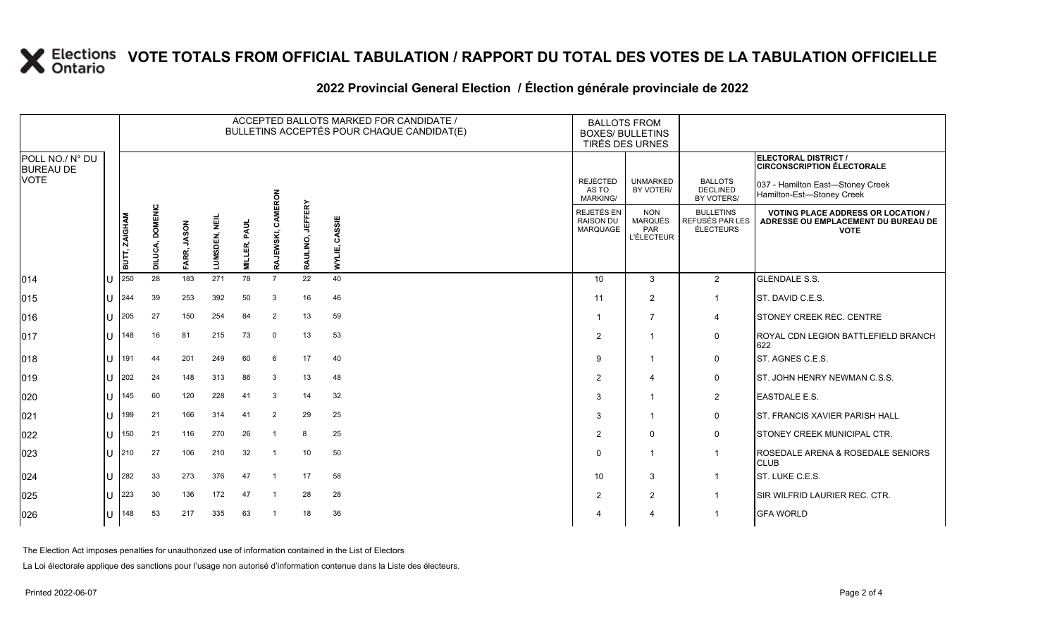### **2022 Provincial General Election / Élection générale provinciale de 2022**

|                                     |    |                      |                           |                       |                      |                 |                              |                  | ACCEPTED BALLOTS MARKED FOR CANDIDATE /<br>BULLETINS ACCEPTÉS POUR CHAQUE CANDIDAT(E) | <b>BALLOTS FROM</b><br><b>BOXES/ BULLETINS</b><br>TIRÉS DES URNES |                                                          |                                                  |                                                                                                 |
|-------------------------------------|----|----------------------|---------------------------|-----------------------|----------------------|-----------------|------------------------------|------------------|---------------------------------------------------------------------------------------|-------------------------------------------------------------------|----------------------------------------------------------|--------------------------------------------------|-------------------------------------------------------------------------------------------------|
| POLL NO./ N° DU<br><b>BUREAU DE</b> |    |                      |                           |                       |                      |                 |                              |                  |                                                                                       |                                                                   |                                                          |                                                  | ELECTORAL DISTRICT /<br><b>CIRCONSCRIPTION ÉLECTORALE</b>                                       |
| <b>VOTE</b>                         |    |                      |                           |                       |                      |                 | ERON                         |                  |                                                                                       | <b>REJECTED</b><br>AS TO<br>MARKING/                              | <b>UNMARKED</b><br>BY VOTER/                             | <b>BALLOTS</b><br><b>DECLINED</b><br>BY VOTERS/  | 037 - Hamilton East-Stoney Creek<br>Hamilton-Est-Stoney Creek                                   |
|                                     |    | <b>BUTT, ZAIGHAM</b> | <b>DOMENIC</b><br>DILUCA, | <b>JASON</b><br>FARR, | <b>LUMSDEN, NEIL</b> | PAUL<br>MILLER, | <b>MKS</b><br>EWSKI,         | RAULINO, JEFFERY | CASSIE<br>WYLIE,                                                                      | REJETÉS EN<br><b>RAISON DU</b><br>MARQUAGE                        | <b>NON</b><br><b>MARQUÉS</b><br>PAR<br><b>L'ÉLECTEUR</b> | <b>BULLETINS</b><br>REFUSÉS PAR LES<br>ÉLECTEURS | <b>VOTING PLACE ADDRESS OR LOCATION /</b><br>ADRESSE OU EMPLACEMENT DU BUREAU DE<br><b>VOTE</b> |
|                                     | IΠ | 250                  | 28                        | 183                   | 271                  | 78              | <b>RAJ</b><br>$\overline{7}$ | 22               | 40                                                                                    | 10                                                                | 3                                                        |                                                  | <b>GLENDALE S.S.</b>                                                                            |
| 014                                 |    |                      |                           |                       |                      |                 |                              |                  |                                                                                       |                                                                   |                                                          | $\overline{2}$                                   |                                                                                                 |
| $ 015\rangle$                       | IП | 244                  | 39                        | 253                   | 392                  | 50              | 3                            | 16               | 46                                                                                    | 11                                                                | 2                                                        | $\mathbf{1}$                                     | ST. DAVID C.E.S.                                                                                |
| 016                                 | lu | 205                  | 27                        | 150                   | 254                  | 84              | $\overline{2}$               | 13               | 59                                                                                    | -1                                                                | $\overline{7}$                                           | $\overline{4}$                                   | <b>STONEY CREEK REC. CENTRE</b>                                                                 |
| $ 017\rangle$                       | Iυ | 148                  | 16                        | 81                    | 215                  | 73              | $\Omega$                     | 13               | 53                                                                                    | $\overline{2}$                                                    | $\overline{1}$                                           | $\mathbf 0$                                      | ROYAL CDN LEGION BATTLEFIELD BRANCH<br>622                                                      |
| 018                                 | IП | 191                  | 44                        | 201                   | 249                  | 60              | 6                            | 17               | 40                                                                                    | 9                                                                 | $\overline{1}$                                           | $\mathbf 0$                                      | ST. AGNES C.E.S.                                                                                |
| $ 019\rangle$                       | IП | 202                  | 24                        | 148                   | 313                  | 86              | 3                            | 13               | 48                                                                                    | $\overline{2}$                                                    | 4                                                        | 0                                                | <b>ST. JOHN HENRY NEWMAN C.S.S.</b>                                                             |
| 020                                 | IП | 145                  | 60                        | 120                   | 228                  | 41              | 3                            | 14               | 32                                                                                    | 3                                                                 | $\mathbf{1}$                                             | $\overline{2}$                                   | <b>EASTDALE E.S.</b>                                                                            |
| 021                                 | IП | 199                  | 21                        | 166                   | 314                  | 41              | $\overline{2}$               | 29               | 25                                                                                    | 3                                                                 | $\overline{1}$                                           | 0                                                | <b>IST. FRANCIS XAVIER PARISH HALL</b>                                                          |
| 022                                 | IП | 150                  | 21                        | 116                   | 270                  | 26              |                              | 8                | 25                                                                                    | $\overline{2}$                                                    | $\mathbf{0}$                                             | $\mathbf 0$                                      | <b>STONEY CREEK MUNICIPAL CTR.</b>                                                              |
| 023                                 | IП | 210                  | 27                        | 106                   | 210                  | 32              | $\overline{1}$               | 10               | 50                                                                                    | $\Omega$                                                          | $\mathbf{1}$                                             | $\mathbf{1}$                                     | ROSEDALE ARENA & ROSEDALE SENIORS<br><b>CLUB</b>                                                |
| 024                                 | IП | 282                  | 33                        | 273                   | 376                  | 47              |                              | 17               | 58                                                                                    | 10                                                                | 3                                                        | $\overline{1}$                                   | ST. LUKE C.E.S.                                                                                 |
| 025                                 | lU | 223                  | 30                        | 136                   | 172                  | 47              | -1                           | 28               | 28                                                                                    | $\overline{2}$                                                    | 2                                                        | $\overline{1}$                                   | SIR WILFRID LAURIER REC. CTR.                                                                   |
| 026                                 | Iυ | 148                  | 53                        | 217                   | 335                  | 63              | $\overline{1}$               | 18               | 36                                                                                    |                                                                   | $\overline{4}$                                           |                                                  | <b>GFA WORLD</b>                                                                                |

The Election Act imposes penalties for unauthorized use of information contained in the List of Electors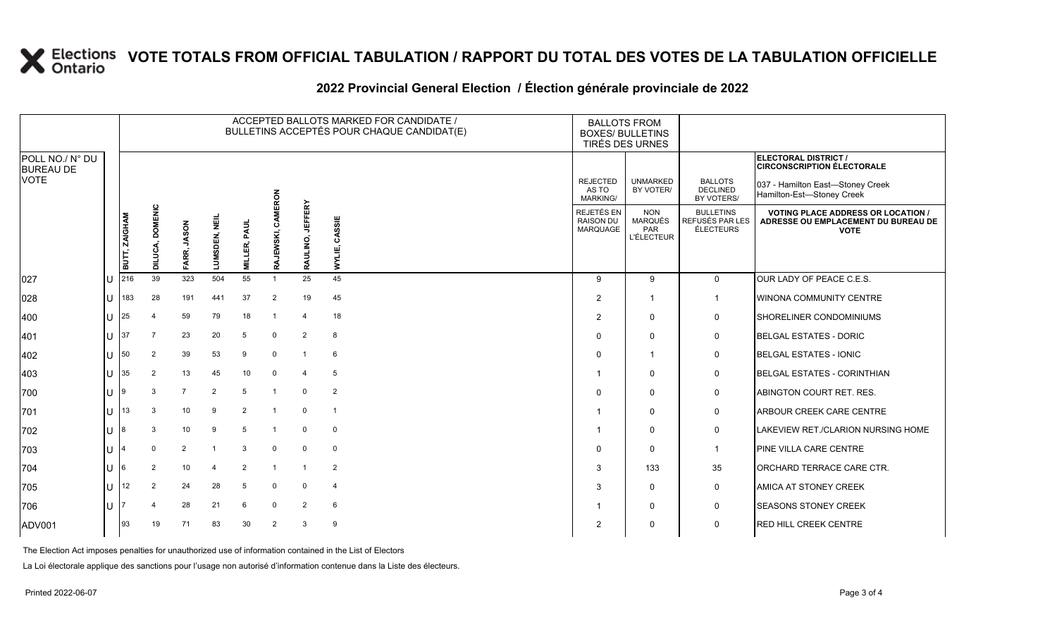### **2022 Provincial General Election / Élection générale provinciale de 2022**

|                                     |        | ACCEPTED BALLOTS MARKED FOR CANDIDATE /<br>BULLETINS ACCEPTÉS POUR CHAQUE CANDIDAT(E) |                           |                 |                |                 |                   |                            |                         | <b>BALLOTS FROM</b><br><b>BOXES/ BULLETINS</b> | TIRÉS DES URNES                                          |                                                  |                                                                                                 |
|-------------------------------------|--------|---------------------------------------------------------------------------------------|---------------------------|-----------------|----------------|-----------------|-------------------|----------------------------|-------------------------|------------------------------------------------|----------------------------------------------------------|--------------------------------------------------|-------------------------------------------------------------------------------------------------|
| POLL NO./ N° DU<br><b>BUREAU DE</b> |        |                                                                                       |                           |                 |                |                 |                   |                            |                         |                                                |                                                          |                                                  | <b>ELECTORAL DISTRICT /</b><br><b>CIRCONSCRIPTION ÉLECTORALE</b>                                |
| <b>VOTE</b>                         |        |                                                                                       |                           |                 |                |                 | ERON              |                            |                         | <b>REJECTED</b><br>AS TO<br>MARKING/           | <b>UNMARKED</b><br>BY VOTER/                             | <b>BALLOTS</b><br><b>DECLINED</b><br>BY VOTERS/  | 037 - Hamilton East-Stoney Creek<br>Hamilton-Est-Stoney Creek                                   |
|                                     |        | <b>BUTT, ZAIGHAM</b>                                                                  | <b>DOMENIC</b><br>DILUCA, | FARR, JASON     | 틽<br>LUMSDEN,  | PAUL<br>MILLER, | క్టే<br>RAJEWSKI, | <b>JEFFERY</b><br>RAULINO, | CASSIE<br>WYLIE,        | REJETÉS EN<br><b>RAISON DU</b><br>MARQUAGE     | <b>NON</b><br><b>MARQUÉS</b><br>PAR<br><b>L'ÉLECTEUR</b> | <b>BULLETINS</b><br>REFUSÉS PAR LES<br>ÉLECTEURS | <b>VOTING PLACE ADDRESS OR LOCATION /</b><br>ADRESSE OU EMPLACEMENT DU BUREAU DE<br><b>VOTE</b> |
| 027                                 | U      | 216                                                                                   | 39                        | 323             | 504            | 55              | $\overline{1}$    | 25                         | 45                      | 9                                              | 9                                                        | $\mathbf 0$                                      | OUR LADY OF PEACE C.E.S.                                                                        |
| 028                                 | ΙU     | 183                                                                                   | 28                        | 191             | 441            | 37              | $\overline{2}$    | 19                         | 45                      | $\overline{2}$                                 | $\mathbf{1}$                                             | $\mathbf{1}$                                     | WINONA COMMUNITY CENTRE                                                                         |
| 400                                 | ΠL     | 25                                                                                    |                           | 59              | 79             | 18              |                   | 4                          | 18                      | 2                                              | $\mathbf 0$                                              | 0                                                | SHORELINER CONDOMINIUMS                                                                         |
| 401                                 | $U$ 37 |                                                                                       | $\overline{7}$            | 23              | 20             | 5               | $\Omega$          | $\overline{2}$             | 8                       | $\Omega$                                       | $\Omega$                                                 | $\mathbf 0$                                      | <b>BELGAL ESTATES - DORIC</b>                                                                   |
| 402                                 | U      | 50                                                                                    | $\overline{2}$            | 39              | 53             | 9               | $\mathbf 0$       | $\overline{1}$             | 6                       | $\Omega$                                       | $\mathbf{1}$                                             | 0                                                | <b>BELGAL ESTATES - IONIC</b>                                                                   |
| 403                                 | U      | 35                                                                                    | 2                         | 13              | 45             | 10              | $\Omega$          | 4                          | 5                       |                                                | $\mathbf 0$                                              | $\mathbf 0$                                      | <b>BELGAL ESTATES - CORINTHIAN</b>                                                              |
| 700                                 | lu-    | I9                                                                                    | 3                         | $\overline{7}$  | $\overline{2}$ | 5               | $\overline{1}$    | $\mathbf 0$                | $\overline{2}$          | $\Omega$                                       | $\Omega$                                                 | $\mathbf 0$                                      | ABINGTON COURT RET. RES.                                                                        |
| 701                                 | lΗ     | 13                                                                                    | 3                         | 10 <sup>1</sup> | 9              | 2               |                   | $\mathbf 0$                | $\overline{\mathbf{1}}$ |                                                | $\Omega$                                                 | $\mathbf 0$                                      | ARBOUR CREEK CARE CENTRE                                                                        |
| 702                                 | lu.    | 18                                                                                    |                           | 10 <sup>1</sup> | 9              | 5               |                   | $\mathbf 0$                | $\mathbf 0$             |                                                | $\Omega$                                                 | $\mathbf 0$                                      | LAKEVIEW RET./CLARION NURSING HOME                                                              |
| 703                                 | ΙU     |                                                                                       | $\mathbf{0}$              | $\overline{2}$  |                | 3               | $\Omega$          | $\mathbf 0$                | $\mathbf 0$             | $\Omega$                                       | $\Omega$                                                 | $\mathbf{1}$                                     | PINE VILLA CARE CENTRE                                                                          |
| 704                                 | U      | I6                                                                                    | 2                         | 10              | 4              | 2               |                   | $\overline{1}$             | 2                       | 3                                              | 133                                                      | 35                                               | ORCHARD TERRACE CARE CTR.                                                                       |
| 705                                 | lU     | 12                                                                                    | $\overline{2}$            | 24              | 28             | 5               | $\Omega$          | 0                          | $\overline{4}$          | 3                                              | $\Omega$                                                 | 0                                                | AMICA AT STONEY CREEK                                                                           |
| 706                                 | ΙU     |                                                                                       |                           | 28              | 21             | 6               | $\Omega$          | $\overline{2}$             | 6                       |                                                | 0                                                        | $\mathbf 0$                                      | <b>SEASONS STONEY CREEK</b>                                                                     |
| ADV001                              |        | 93                                                                                    | 19                        | 71              | 83             | 30              | 2                 | 3                          | 9                       | $\overline{2}$                                 | $\Omega$                                                 | $\mathbf 0$                                      | <b>RED HILL CREEK CENTRE</b>                                                                    |

The Election Act imposes penalties for unauthorized use of information contained in the List of Electors